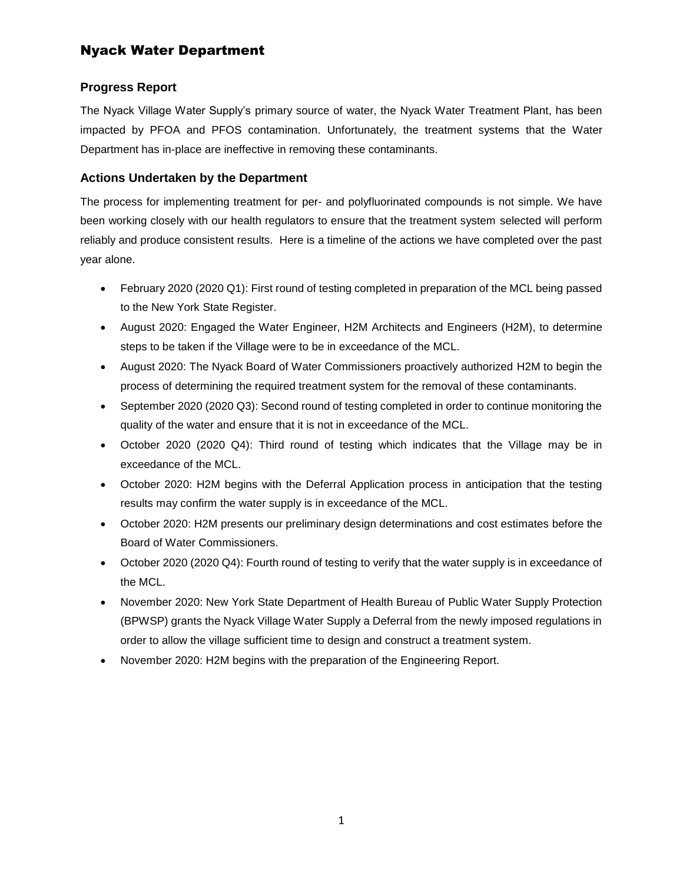# Nyack Water Department

### **Progress Report**

The Nyack Village Water Supply's primary source of water, the Nyack Water Treatment Plant, has been impacted by PFOA and PFOS contamination. Unfortunately, the treatment systems that the Water Department has in-place are ineffective in removing these contaminants.

### **Actions Undertaken by the Department**

The process for implementing treatment for per- and polyfluorinated compounds is not simple. We have been working closely with our health regulators to ensure that the treatment system selected will perform reliably and produce consistent results. Here is a timeline of the actions we have completed over the past year alone.

- February 2020 (2020 Q1): First round of testing completed in preparation of the MCL being passed to the New York State Register.
- August 2020: Engaged the Water Engineer, H2M Architects and Engineers (H2M), to determine steps to be taken if the Village were to be in exceedance of the MCL.
- August 2020: The Nyack Board of Water Commissioners proactively authorized H2M to begin the process of determining the required treatment system for the removal of these contaminants.
- September 2020 (2020 Q3): Second round of testing completed in order to continue monitoring the quality of the water and ensure that it is not in exceedance of the MCL.
- October 2020 (2020 Q4): Third round of testing which indicates that the Village may be in exceedance of the MCL.
- October 2020: H2M begins with the Deferral Application process in anticipation that the testing results may confirm the water supply is in exceedance of the MCL.
- October 2020: H2M presents our preliminary design determinations and cost estimates before the Board of Water Commissioners.
- October 2020 (2020 Q4): Fourth round of testing to verify that the water supply is in exceedance of the MCL.
- November 2020: New York State Department of Health Bureau of Public Water Supply Protection (BPWSP) grants the Nyack Village Water Supply a Deferral from the newly imposed regulations in order to allow the village sufficient time to design and construct a treatment system.
- November 2020: H2M begins with the preparation of the Engineering Report.